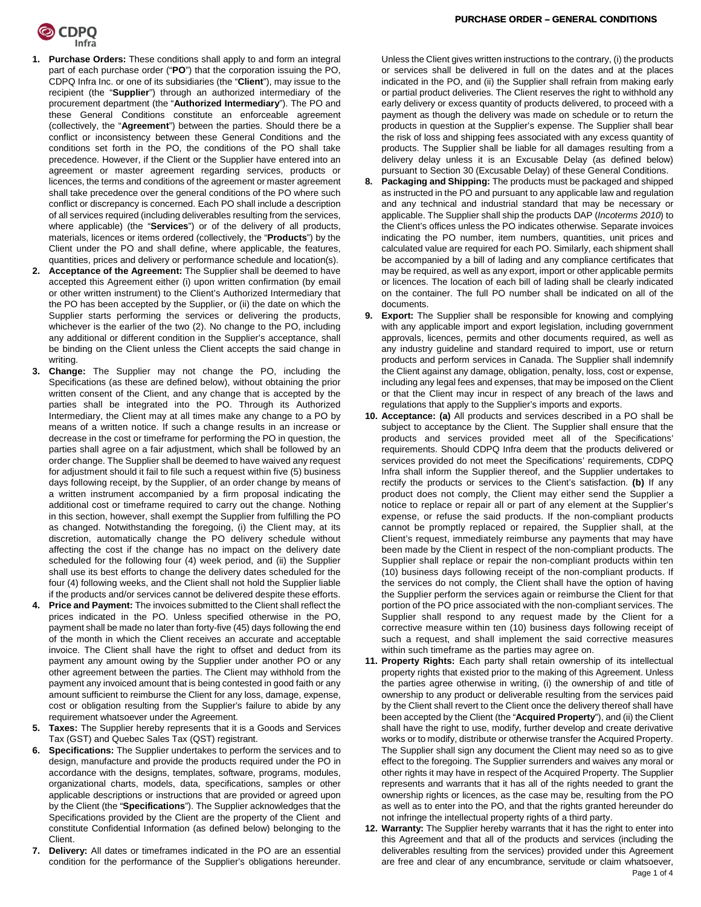

- **1. Purchase Orders:** These conditions shall apply to and form an integral part of each purchase order ("**PO**") that the corporation issuing the PO, CDPQ Infra Inc. or one of its subsidiaries (the "**Client**"), may issue to the recipient (the "**Supplier**") through an authorized intermediary of the procurement department (the "**Authorized Intermediary**"). The PO and these General Conditions constitute an enforceable agreement (collectively, the "**Agreement**") between the parties. Should there be a conflict or inconsistency between these General Conditions and the conditions set forth in the PO, the conditions of the PO shall take precedence. However, if the Client or the Supplier have entered into an agreement or master agreement regarding services, products or licences, the terms and conditions of the agreement or master agreement shall take precedence over the general conditions of the PO where such conflict or discrepancy is concerned. Each PO shall include a description of all services required (including deliverables resulting from the services, where applicable) (the "**Services**") or of the delivery of all products, materials, licences or items ordered (collectively, the "**Products**") by the Client under the PO and shall define, where applicable, the features, quantities, prices and delivery or performance schedule and location(s).
- **2. Acceptance of the Agreement:** The Supplier shall be deemed to have accepted this Agreement either (i) upon written confirmation (by email or other written instrument) to the Client's Authorized Intermediary that the PO has been accepted by the Supplier, or (ii) the date on which the Supplier starts performing the services or delivering the products, whichever is the earlier of the two (2). No change to the PO, including any additional or different condition in the Supplier's acceptance, shall be binding on the Client unless the Client accepts the said change in writing.
- **3. Change:** The Supplier may not change the PO, including the Specifications (as these are defined below), without obtaining the prior written consent of the Client, and any change that is accepted by the parties shall be integrated into the PO. Through its Authorized Intermediary, the Client may at all times make any change to a PO by means of a written notice. If such a change results in an increase or decrease in the cost or timeframe for performing the PO in question, the parties shall agree on a fair adjustment, which shall be followed by an order change. The Supplier shall be deemed to have waived any request for adjustment should it fail to file such a request within five (5) business days following receipt, by the Supplier, of an order change by means of a written instrument accompanied by a firm proposal indicating the additional cost or timeframe required to carry out the change. Nothing in this section, however, shall exempt the Supplier from fulfilling the PO as changed. Notwithstanding the foregoing, (i) the Client may, at its discretion, automatically change the PO delivery schedule without affecting the cost if the change has no impact on the delivery date scheduled for the following four (4) week period, and (ii) the Supplier shall use its best efforts to change the delivery dates scheduled for the four (4) following weeks, and the Client shall not hold the Supplier liable if the products and/or services cannot be delivered despite these efforts.
- **4. Price and Payment:** The invoices submitted to the Client shall reflect the prices indicated in the PO. Unless specified otherwise in the PO, payment shall be made no later than forty-five (45) days following the end of the month in which the Client receives an accurate and acceptable invoice. The Client shall have the right to offset and deduct from its payment any amount owing by the Supplier under another PO or any other agreement between the parties. The Client may withhold from the payment any invoiced amount that is being contested in good faith or any amount sufficient to reimburse the Client for any loss, damage, expense, cost or obligation resulting from the Supplier's failure to abide by any requirement whatsoever under the Agreement.
- **5. Taxes:** The Supplier hereby represents that it is a Goods and Services Tax (GST) and Quebec Sales Tax (QST) registrant.
- **Specifications:** The Supplier undertakes to perform the services and to design, manufacture and provide the products required under the PO in accordance with the designs, templates, software, programs, modules, organizational charts, models, data, specifications, samples or other applicable descriptions or instructions that are provided or agreed upon by the Client (the "**Specifications**"). The Supplier acknowledges that the Specifications provided by the Client are the property of the Client and constitute Confidential Information (as defined below) belonging to the Client.
- **7. Delivery:** All dates or timeframes indicated in the PO are an essential condition for the performance of the Supplier's obligations hereunder.

Unless the Client gives written instructions to the contrary, (i) the products or services shall be delivered in full on the dates and at the places indicated in the PO, and (ii) the Supplier shall refrain from making early or partial product deliveries. The Client reserves the right to withhold any early delivery or excess quantity of products delivered, to proceed with a payment as though the delivery was made on schedule or to return the products in question at the Supplier's expense. The Supplier shall bear the risk of loss and shipping fees associated with any excess quantity of products. The Supplier shall be liable for all damages resulting from a delivery delay unless it is an Excusable Delay (as defined below) pursuant to Section 30 (Excusable Delay) of these General Conditions.

- **8. Packaging and Shipping:** The products must be packaged and shipped as instructed in the PO and pursuant to any applicable law and regulation and any technical and industrial standard that may be necessary or applicable. The Supplier shall ship the products DAP (*Incoterms 2010*) to the Client's offices unless the PO indicates otherwise. Separate invoices indicating the PO number, item numbers, quantities, unit prices and calculated value are required for each PO. Similarly, each shipment shall be accompanied by a bill of lading and any compliance certificates that may be required, as well as any export, import or other applicable permits or licences. The location of each bill of lading shall be clearly indicated on the container. The full PO number shall be indicated on all of the documents.
- **9. Export:** The Supplier shall be responsible for knowing and complying with any applicable import and export legislation, including government approvals, licences, permits and other documents required, as well as any industry guideline and standard required to import, use or return products and perform services in Canada. The Supplier shall indemnify the Client against any damage, obligation, penalty, loss, cost or expense, including any legal fees and expenses, that may be imposed on the Client or that the Client may incur in respect of any breach of the laws and regulations that apply to the Supplier's imports and exports.
- **10. Acceptance: (a)** All products and services described in a PO shall be subject to acceptance by the Client. The Supplier shall ensure that the products and services provided meet all of the Specifications' requirements. Should CDPQ Infra deem that the products delivered or services provided do not meet the Specifications' requirements, CDPQ Infra shall inform the Supplier thereof, and the Supplier undertakes to rectify the products or services to the Client's satisfaction. **(b)** If any product does not comply, the Client may either send the Supplier a notice to replace or repair all or part of any element at the Supplier's expense, or refuse the said products. If the non-compliant products cannot be promptly replaced or repaired, the Supplier shall, at the Client's request, immediately reimburse any payments that may have been made by the Client in respect of the non-compliant products. The Supplier shall replace or repair the non-compliant products within ten (10) business days following receipt of the non-compliant products. If the services do not comply, the Client shall have the option of having the Supplier perform the services again or reimburse the Client for that portion of the PO price associated with the non-compliant services. The Supplier shall respond to any request made by the Client for a corrective measure within ten (10) business days following receipt of such a request, and shall implement the said corrective measures within such timeframe as the parties may agree on.
- **11. Property Rights:** Each party shall retain ownership of its intellectual property rights that existed prior to the making of this Agreement. Unless the parties agree otherwise in writing, (i) the ownership of and title of ownership to any product or deliverable resulting from the services paid by the Client shall revert to the Client once the delivery thereof shall have been accepted by the Client (the "**Acquired Property**"), and (ii) the Client shall have the right to use, modify, further develop and create derivative works or to modify, distribute or otherwise transfer the Acquired Property. The Supplier shall sign any document the Client may need so as to give effect to the foregoing. The Supplier surrenders and waives any moral or other rights it may have in respect of the Acquired Property. The Supplier represents and warrants that it has all of the rights needed to grant the ownership rights or licences, as the case may be, resulting from the PO as well as to enter into the PO, and that the rights granted hereunder do not infringe the intellectual property rights of a third party.
- **12. Warranty:** The Supplier hereby warrants that it has the right to enter into this Agreement and that all of the products and services (including the deliverables resulting from the services) provided under this Agreement are free and clear of any encumbrance, servitude or claim whatsoever,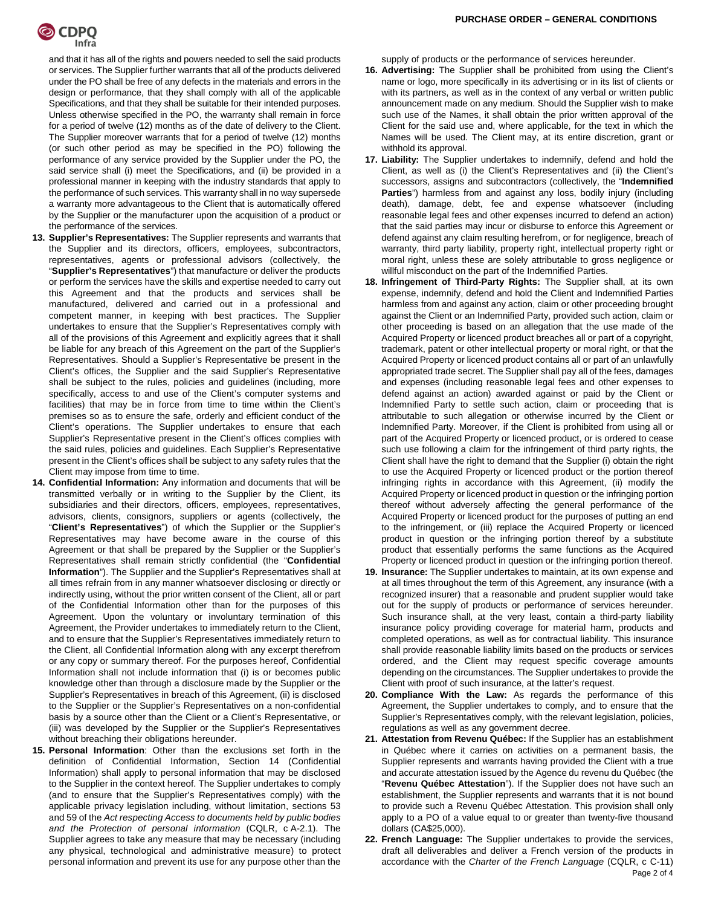

and that it has all of the rights and powers needed to sell the said products or services. The Supplier further warrants that all of the products delivered under the PO shall be free of any defects in the materials and errors in the design or performance, that they shall comply with all of the applicable Specifications, and that they shall be suitable for their intended purposes. Unless otherwise specified in the PO, the warranty shall remain in force for a period of twelve (12) months as of the date of delivery to the Client. The Supplier moreover warrants that for a period of twelve (12) months (or such other period as may be specified in the PO) following the performance of any service provided by the Supplier under the PO, the said service shall (i) meet the Specifications, and (ii) be provided in a professional manner in keeping with the industry standards that apply to the performance of such services. This warranty shall in no way supersede a warranty more advantageous to the Client that is automatically offered by the Supplier or the manufacturer upon the acquisition of a product or the performance of the services.

- **13. Supplier's Representatives:** The Supplier represents and warrants that the Supplier and its directors, officers, employees, subcontractors, representatives, agents or professional advisors (collectively, the "**Supplier's Representatives**") that manufacture or deliver the products or perform the services have the skills and expertise needed to carry out this Agreement and that the products and services shall be manufactured, delivered and carried out in a professional and competent manner, in keeping with best practices. The Supplier undertakes to ensure that the Supplier's Representatives comply with all of the provisions of this Agreement and explicitly agrees that it shall be liable for any breach of this Agreement on the part of the Supplier's Representatives. Should a Supplier's Representative be present in the Client's offices, the Supplier and the said Supplier's Representative shall be subject to the rules, policies and guidelines (including, more specifically, access to and use of the Client's computer systems and facilities) that may be in force from time to time within the Client's premises so as to ensure the safe, orderly and efficient conduct of the Client's operations. The Supplier undertakes to ensure that each Supplier's Representative present in the Client's offices complies with the said rules, policies and guidelines. Each Supplier's Representative present in the Client's offices shall be subject to any safety rules that the Client may impose from time to time.
- **14. Confidential Information:** Any information and documents that will be transmitted verbally or in writing to the Supplier by the Client, its subsidiaries and their directors, officers, employees, representatives, advisors, clients, consignors, suppliers or agents (collectively, the "**Client's Representatives**") of which the Supplier or the Supplier's Representatives may have become aware in the course of this Agreement or that shall be prepared by the Supplier or the Supplier's Representatives shall remain strictly confidential (the "**Confidential Information**"). The Supplier and the Supplier's Representatives shall at all times refrain from in any manner whatsoever disclosing or directly or indirectly using, without the prior written consent of the Client, all or part of the Confidential Information other than for the purposes of this Agreement. Upon the voluntary or involuntary termination of this Agreement, the Provider undertakes to immediately return to the Client, and to ensure that the Supplier's Representatives immediately return to the Client, all Confidential Information along with any excerpt therefrom or any copy or summary thereof. For the purposes hereof, Confidential Information shall not include information that (i) is or becomes public knowledge other than through a disclosure made by the Supplier or the Supplier's Representatives in breach of this Agreement, (ii) is disclosed to the Supplier or the Supplier's Representatives on a non-confidential basis by a source other than the Client or a Client's Representative, or (iii) was developed by the Supplier or the Supplier's Representatives without breaching their obligations hereunder.
- **15. Personal Information**: Other than the exclusions set forth in the definition of Confidential Information, Section 14 (Confidential Information) shall apply to personal information that may be disclosed to the Supplier in the context hereof. The Supplier undertakes to comply (and to ensure that the Supplier's Representatives comply) with the applicable privacy legislation including, without limitation, sections 53 and 59 of the *Act respecting Access to documents held by public bodies and the Protection of personal information* (CQLR, c A-2.1). The Supplier agrees to take any measure that may be necessary (including any physical, technological and administrative measure) to protect personal information and prevent its use for any purpose other than the

supply of products or the performance of services hereunder.

- **16. Advertising:** The Supplier shall be prohibited from using the Client's name or logo, more specifically in its advertising or in its list of clients or with its partners, as well as in the context of any verbal or written public announcement made on any medium. Should the Supplier wish to make such use of the Names, it shall obtain the prior written approval of the Client for the said use and, where applicable, for the text in which the Names will be used. The Client may, at its entire discretion, grant or withhold its approval.
- **17. Liability:** The Supplier undertakes to indemnify, defend and hold the Client, as well as (i) the Client's Representatives and (ii) the Client's successors, assigns and subcontractors (collectively, the "**Indemnified Parties**") harmless from and against any loss, bodily injury (including death), damage, debt, fee and expense whatsoever (including reasonable legal fees and other expenses incurred to defend an action) that the said parties may incur or disburse to enforce this Agreement or defend against any claim resulting herefrom, or for negligence, breach of warranty, third party liability, property right, intellectual property right or moral right, unless these are solely attributable to gross negligence or willful misconduct on the part of the Indemnified Parties.
- **18. Infringement of Third-Party Rights:** The Supplier shall, at its own expense, indemnify, defend and hold the Client and Indemnified Parties harmless from and against any action, claim or other proceeding brought against the Client or an Indemnified Party, provided such action, claim or other proceeding is based on an allegation that the use made of the Acquired Property or licenced product breaches all or part of a copyright, trademark, patent or other intellectual property or moral right, or that the Acquired Property or licenced product contains all or part of an unlawfully appropriated trade secret. The Supplier shall pay all of the fees, damages and expenses (including reasonable legal fees and other expenses to defend against an action) awarded against or paid by the Client or Indemnified Party to settle such action, claim or proceeding that is attributable to such allegation or otherwise incurred by the Client or Indemnified Party. Moreover, if the Client is prohibited from using all or part of the Acquired Property or licenced product, or is ordered to cease such use following a claim for the infringement of third party rights, the Client shall have the right to demand that the Supplier (i) obtain the right to use the Acquired Property or licenced product or the portion thereof infringing rights in accordance with this Agreement, (ii) modify the Acquired Property or licenced product in question or the infringing portion thereof without adversely affecting the general performance of the Acquired Property or licenced product for the purposes of putting an end to the infringement, or (iii) replace the Acquired Property or licenced product in question or the infringing portion thereof by a substitute product that essentially performs the same functions as the Acquired Property or licenced product in question or the infringing portion thereof.
- **19. Insurance:** The Supplier undertakes to maintain, at its own expense and at all times throughout the term of this Agreement, any insurance (with a recognized insurer) that a reasonable and prudent supplier would take out for the supply of products or performance of services hereunder. Such insurance shall, at the very least, contain a third-party liability insurance policy providing coverage for material harm, products and completed operations, as well as for contractual liability. This insurance shall provide reasonable liability limits based on the products or services ordered, and the Client may request specific coverage amounts depending on the circumstances. The Supplier undertakes to provide the Client with proof of such insurance, at the latter's request.
- **20. Compliance With the Law:** As regards the performance of this Agreement, the Supplier undertakes to comply, and to ensure that the Supplier's Representatives comply, with the relevant legislation, policies, regulations as well as any government decree.
- **21. Attestation from Revenu Québec:** If the Supplier has an establishment in Québec where it carries on activities on a permanent basis, the Supplier represents and warrants having provided the Client with a true and accurate attestation issued by the Agence du revenu du Québec (the "**Revenu Québec Attestation**"). If the Supplier does not have such an establishment, the Supplier represents and warrants that it is not bound to provide such a Revenu Québec Attestation. This provision shall only apply to a PO of a value equal to or greater than twenty-five thousand dollars (CA\$25,000).
- Page 2 of 4 **22. French Language:** The Supplier undertakes to provide the services, draft all deliverables and deliver a French version of the products in accordance with the *Charter of the French Language* (CQLR, c C-11)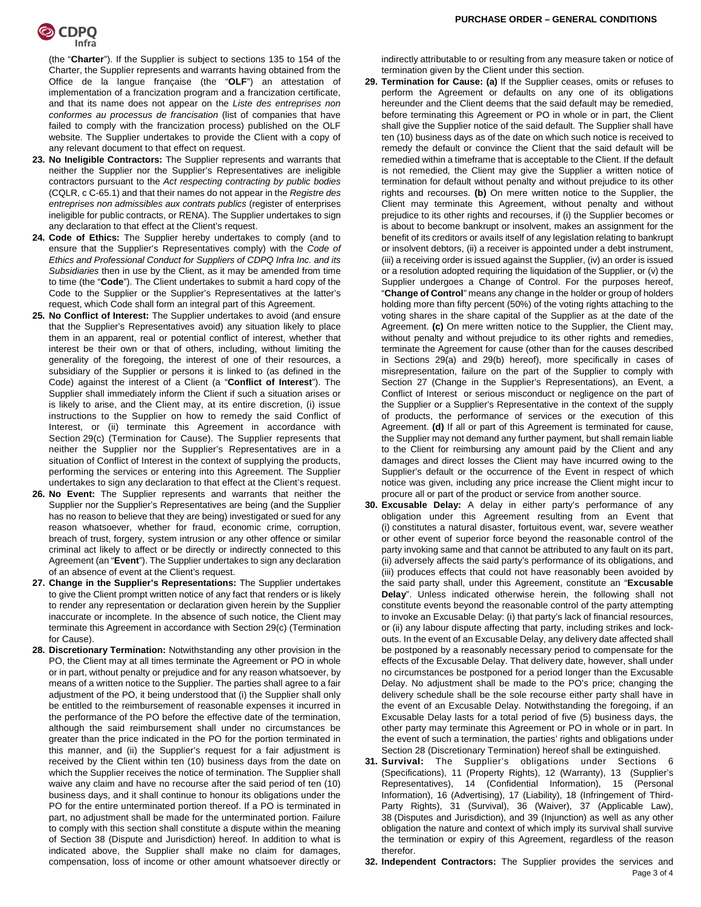

(the "**Charter**"). If the Supplier is subject to sections 135 to 154 of the Charter, the Supplier represents and warrants having obtained from the Office de la langue française (the "**OLF**") an attestation of implementation of a francization program and a francization certificate, and that its name does not appear on the *Liste des entreprises non conformes au processus de francisation* (list of companies that have failed to comply with the francization process) published on the OLF website. The Supplier undertakes to provide the Client with a copy of any relevant document to that effect on request.

- **23. No Ineligible Contractors:** The Supplier represents and warrants that neither the Supplier nor the Supplier's Representatives are ineligible contractors pursuant to the *Act respecting contracting by public bodies*  (CQLR, c C-65.1) and that their names do not appear in the *Registre des entreprises non admissibles aux contrats publics* (register of enterprises ineligible for public contracts, or RENA). The Supplier undertakes to sign any declaration to that effect at the Client's request.
- **24. Code of Ethics:** The Supplier hereby undertakes to comply (and to ensure that the Supplier's Representatives comply) with the *Code of Ethics and Professional Conduct for Suppliers of CDPQ Infra Inc. and its Subsidiaries* then in use by the Client, as it may be amended from time to time (the "**Code**"). The Client undertakes to submit a hard copy of the Code to the Supplier or the Supplier's Representatives at the latter's request, which Code shall form an integral part of this Agreement.
- **25. No Conflict of Interest:** The Supplier undertakes to avoid (and ensure that the Supplier's Representatives avoid) any situation likely to place them in an apparent, real or potential conflict of interest, whether that interest be their own or that of others, including, without limiting the generality of the foregoing, the interest of one of their resources, a subsidiary of the Supplier or persons it is linked to (as defined in the Code) against the interest of a Client (a "**Conflict of Interest**"). The Supplier shall immediately inform the Client if such a situation arises or is likely to arise, and the Client may, at its entire discretion, (i) issue instructions to the Supplier on how to remedy the said Conflict of Interest, or (ii) terminate this Agreement in accordance with Section 29(c) (Termination for Cause). The Supplier represents that neither the Supplier nor the Supplier's Representatives are in a situation of Conflict of Interest in the context of supplying the products, performing the services or entering into this Agreement. The Supplier undertakes to sign any declaration to that effect at the Client's request.
- **26. No Event:** The Supplier represents and warrants that neither the Supplier nor the Supplier's Representatives are being (and the Supplier has no reason to believe that they are being) investigated or sued for any reason whatsoever, whether for fraud, economic crime, corruption, breach of trust, forgery, system intrusion or any other offence or similar criminal act likely to affect or be directly or indirectly connected to this Agreement (an "**Event**"). The Supplier undertakes to sign any declaration of an absence of event at the Client's request.
- **27. Change in the Supplier's Representations:** The Supplier undertakes to give the Client prompt written notice of any fact that renders or is likely to render any representation or declaration given herein by the Supplier inaccurate or incomplete. In the absence of such notice, the Client may terminate this Agreement in accordance with Section 29(c) (Termination for Cause).
- **28. Discretionary Termination:** Notwithstanding any other provision in the PO, the Client may at all times terminate the Agreement or PO in whole or in part, without penalty or prejudice and for any reason whatsoever, by means of a written notice to the Supplier. The parties shall agree to a fair adjustment of the PO, it being understood that (i) the Supplier shall only be entitled to the reimbursement of reasonable expenses it incurred in the performance of the PO before the effective date of the termination, although the said reimbursement shall under no circumstances be greater than the price indicated in the PO for the portion terminated in this manner, and (ii) the Supplier's request for a fair adjustment is received by the Client within ten (10) business days from the date on which the Supplier receives the notice of termination. The Supplier shall waive any claim and have no recourse after the said period of ten (10) business days, and it shall continue to honour its obligations under the PO for the entire unterminated portion thereof. If a PO is terminated in part, no adjustment shall be made for the unterminated portion. Failure to comply with this section shall constitute a dispute within the meaning of Section 38 (Dispute and Jurisdiction) hereof. In addition to what is indicated above, the Supplier shall make no claim for damages, compensation, loss of income or other amount whatsoever directly or

indirectly attributable to or resulting from any measure taken or notice of termination given by the Client under this section.

- **29. Termination for Cause: (a)** If the Supplier ceases, omits or refuses to perform the Agreement or defaults on any one of its obligations hereunder and the Client deems that the said default may be remedied, before terminating this Agreement or PO in whole or in part, the Client shall give the Supplier notice of the said default. The Supplier shall have ten (10) business days as of the date on which such notice is received to remedy the default or convince the Client that the said default will be remedied within a timeframe that is acceptable to the Client. If the default is not remedied, the Client may give the Supplier a written notice of termination for default without penalty and without prejudice to its other rights and recourses. **(b)** On mere written notice to the Supplier, the Client may terminate this Agreement, without penalty and without prejudice to its other rights and recourses, if (i) the Supplier becomes or is about to become bankrupt or insolvent, makes an assignment for the benefit of its creditors or avails itself of any legislation relating to bankrupt or insolvent debtors, (ii) a receiver is appointed under a debt instrument, (iii) a receiving order is issued against the Supplier, (iv) an order is issued or a resolution adopted requiring the liquidation of the Supplier, or (v) the Supplier undergoes a Change of Control. For the purposes hereof, "**Change of Control**" means any change in the holder or group of holders holding more than fifty percent (50%) of the voting rights attaching to the voting shares in the share capital of the Supplier as at the date of the Agreement. **(c)** On mere written notice to the Supplier, the Client may, without penalty and without prejudice to its other rights and remedies, terminate the Agreement for cause (other than for the causes described in Sections 29(a) and 29(b) hereof), more specifically in cases of misrepresentation, failure on the part of the Supplier to comply with Section 27 (Change in the Supplier's Representations), an Event, a Conflict of Interest or serious misconduct or negligence on the part of the Supplier or a Supplier's Representative in the context of the supply of products, the performance of services or the execution of this Agreement. **(d)** If all or part of this Agreement is terminated for cause, the Supplier may not demand any further payment, but shall remain liable to the Client for reimbursing any amount paid by the Client and any damages and direct losses the Client may have incurred owing to the Supplier's default or the occurrence of the Event in respect of which notice was given, including any price increase the Client might incur to procure all or part of the product or service from another source.
- **30. Excusable Delay:** A delay in either party's performance of any obligation under this Agreement resulting from an Event that (i) constitutes a natural disaster, fortuitous event, war, severe weather or other event of superior force beyond the reasonable control of the party invoking same and that cannot be attributed to any fault on its part, (ii) adversely affects the said party's performance of its obligations, and (iii) produces effects that could not have reasonably been avoided by the said party shall, under this Agreement, constitute an "**Excusable Delay**". Unless indicated otherwise herein, the following shall not constitute events beyond the reasonable control of the party attempting to invoke an Excusable Delay: (i) that party's lack of financial resources, or (ii) any labour dispute affecting that party, including strikes and lockouts. In the event of an Excusable Delay, any delivery date affected shall be postponed by a reasonably necessary period to compensate for the effects of the Excusable Delay. That delivery date, however, shall under no circumstances be postponed for a period longer than the Excusable Delay. No adjustment shall be made to the PO's price; changing the delivery schedule shall be the sole recourse either party shall have in the event of an Excusable Delay. Notwithstanding the foregoing, if an Excusable Delay lasts for a total period of five (5) business days, the other party may terminate this Agreement or PO in whole or in part. In the event of such a termination, the parties' rights and obligations under Section 28 (Discretionary Termination) hereof shall be extinguished.
- **31. Survival:** The Supplier's obligations under Sections 6 (Specifications), 11 (Property Rights), 12 (Warranty), 13 (Supplier's Representatives), 14 (Confidential Information), 15 (Personal Information), 16 (Advertising), 17 (Liability), 18 (Infringement of Third-Party Rights), 31 (Survival), 36 (Waiver), 37 (Applicable Law), 38 (Disputes and Jurisdiction), and 39 (Injunction) as well as any other obligation the nature and context of which imply its survival shall survive the termination or expiry of this Agreement, regardless of the reason therefor.
- Page 3 of 4 **32. Independent Contractors:** The Supplier provides the services and